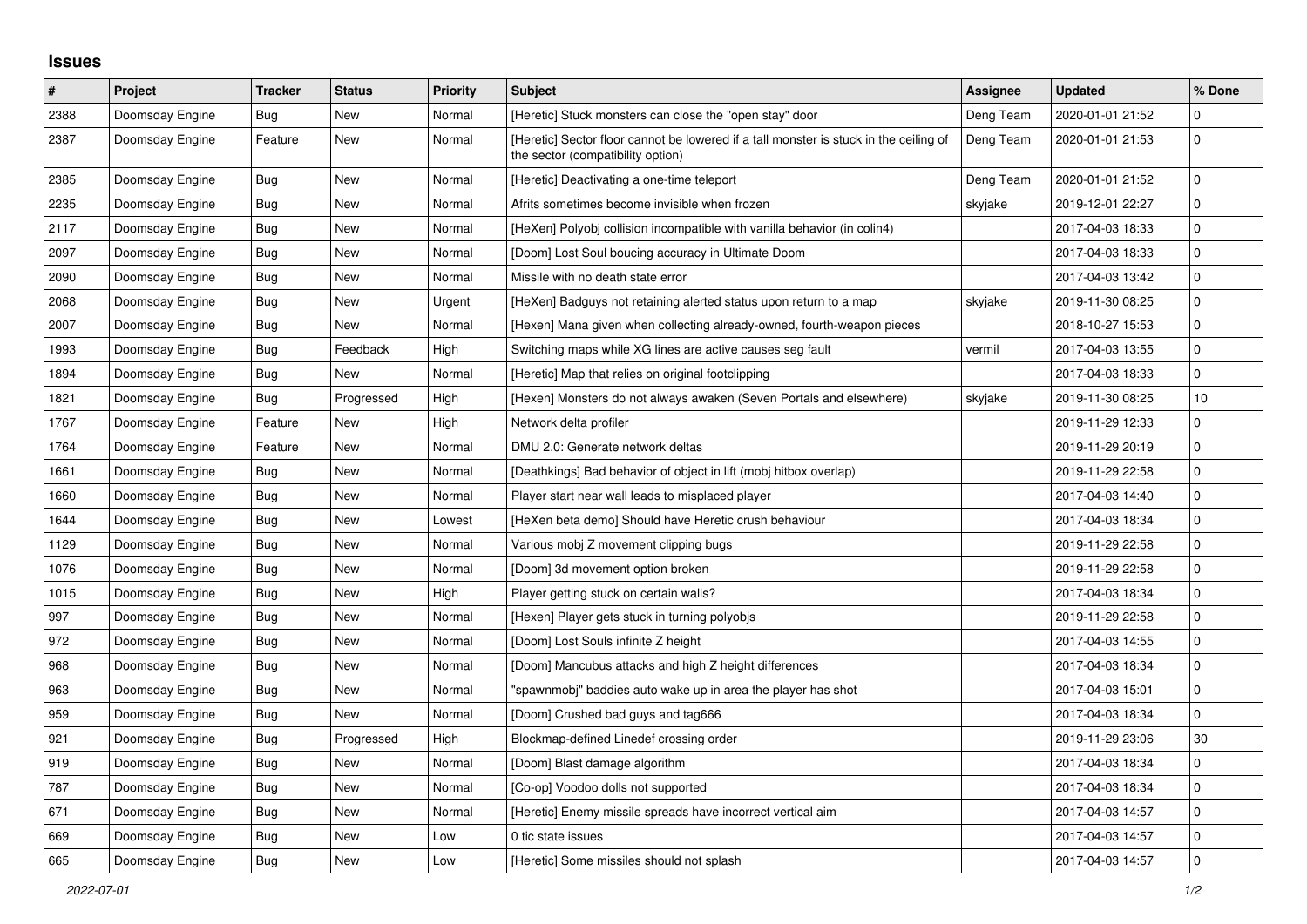## **Issues**

| #    | Project         | <b>Tracker</b> | <b>Status</b> | <b>Priority</b> | <b>Subject</b>                                                                                                             | <b>Assignee</b> | <b>Updated</b>   | % Done      |
|------|-----------------|----------------|---------------|-----------------|----------------------------------------------------------------------------------------------------------------------------|-----------------|------------------|-------------|
| 2388 | Doomsday Engine | Bug            | <b>New</b>    | Normal          | [Heretic] Stuck monsters can close the "open stay" door                                                                    | Deng Team       | 2020-01-01 21:52 | $\mathbf 0$ |
| 2387 | Doomsday Engine | Feature        | <b>New</b>    | Normal          | [Heretic] Sector floor cannot be lowered if a tall monster is stuck in the ceiling of<br>the sector (compatibility option) | Deng Team       | 2020-01-01 21:53 | $\mathbf 0$ |
| 2385 | Doomsday Engine | <b>Bug</b>     | <b>New</b>    | Normal          | [Heretic] Deactivating a one-time teleport                                                                                 | Deng Team       | 2020-01-01 21:52 | $\mathbf 0$ |
| 2235 | Doomsday Engine | <b>Bug</b>     | <b>New</b>    | Normal          | Afrits sometimes become invisible when frozen                                                                              | skyjake         | 2019-12-01 22:27 | $\pmb{0}$   |
| 2117 | Doomsday Engine | Bug            | <b>New</b>    | Normal          | [HeXen] Polyobj collision incompatible with vanilla behavior (in colin4)                                                   |                 | 2017-04-03 18:33 | $\pmb{0}$   |
| 2097 | Doomsday Engine | <b>Bug</b>     | <b>New</b>    | Normal          | [Doom] Lost Soul boucing accuracy in Ultimate Doom                                                                         |                 | 2017-04-03 18:33 | $\pmb{0}$   |
| 2090 | Doomsday Engine | Bug            | <b>New</b>    | Normal          | Missile with no death state error                                                                                          |                 | 2017-04-03 13:42 | $\pmb{0}$   |
| 2068 | Doomsday Engine | <b>Bug</b>     | <b>New</b>    | Urgent          | [HeXen] Badguys not retaining alerted status upon return to a map                                                          | skyjake         | 2019-11-30 08:25 | $\mathbf 0$ |
| 2007 | Doomsday Engine | <b>Bug</b>     | <b>New</b>    | Normal          | [Hexen] Mana given when collecting already-owned, fourth-weapon pieces                                                     |                 | 2018-10-27 15:53 | $\mathbf 0$ |
| 1993 | Doomsday Engine | <b>Bug</b>     | Feedback      | High            | Switching maps while XG lines are active causes seg fault                                                                  | vermil          | 2017-04-03 13:55 | $\pmb{0}$   |
| 1894 | Doomsday Engine | Bug            | New           | Normal          | [Heretic] Map that relies on original footclipping                                                                         |                 | 2017-04-03 18:33 | $\pmb{0}$   |
| 1821 | Doomsday Engine | Bug            | Progressed    | High            | [Hexen] Monsters do not always awaken (Seven Portals and elsewhere)                                                        | skyjake         | 2019-11-30 08:25 | 10          |
| 1767 | Doomsday Engine | Feature        | <b>New</b>    | High            | Network delta profiler                                                                                                     |                 | 2019-11-29 12:33 | $\mathbf 0$ |
| 1764 | Doomsday Engine | Feature        | <b>New</b>    | Normal          | DMU 2.0: Generate network deltas                                                                                           |                 | 2019-11-29 20:19 | $\mathbf 0$ |
| 1661 | Doomsday Engine | Bug            | <b>New</b>    | Normal          | [Deathkings] Bad behavior of object in lift (mobj hitbox overlap)                                                          |                 | 2019-11-29 22:58 | $\mathbf 0$ |
| 1660 | Doomsday Engine | <b>Bug</b>     | <b>New</b>    | Normal          | Player start near wall leads to misplaced player                                                                           |                 | 2017-04-03 14:40 | $\mathbf 0$ |
| 1644 | Doomsday Engine | Bug            | <b>New</b>    | Lowest          | [HeXen beta demo] Should have Heretic crush behaviour                                                                      |                 | 2017-04-03 18:34 | $\pmb{0}$   |
| 1129 | Doomsday Engine | Bug            | <b>New</b>    | Normal          | Various mobj Z movement clipping bugs                                                                                      |                 | 2019-11-29 22:58 | $\mathbf 0$ |
| 1076 | Doomsday Engine | Bug            | <b>New</b>    | Normal          | [Doom] 3d movement option broken                                                                                           |                 | 2019-11-29 22:58 | $\mathbf 0$ |
| 1015 | Doomsday Engine | Bug            | <b>New</b>    | High            | Player getting stuck on certain walls?                                                                                     |                 | 2017-04-03 18:34 | $\mathbf 0$ |
| 997  | Doomsday Engine | Bug            | <b>New</b>    | Normal          | [Hexen] Player gets stuck in turning polyobjs                                                                              |                 | 2019-11-29 22:58 | $\pmb{0}$   |
| 972  | Doomsday Engine | Bug            | <b>New</b>    | Normal          | [Doom] Lost Souls infinite Z height                                                                                        |                 | 2017-04-03 14:55 | $\mathbf 0$ |
| 968  | Doomsday Engine | <b>Bug</b>     | <b>New</b>    | Normal          | [Doom] Mancubus attacks and high Z height differences                                                                      |                 | 2017-04-03 18:34 | $\mathbf 0$ |
| 963  | Doomsday Engine | <b>Bug</b>     | <b>New</b>    | Normal          | 'spawnmobj" baddies auto wake up in area the player has shot                                                               |                 | 2017-04-03 15:01 | $\mathbf 0$ |
| 959  | Doomsday Engine | Bug            | New           | Normal          | [Doom] Crushed bad guys and tag666                                                                                         |                 | 2017-04-03 18:34 | $\pmb{0}$   |
| 921  | Doomsday Engine | Bug            | Progressed    | High            | Blockmap-defined Linedef crossing order                                                                                    |                 | 2019-11-29 23:06 | 30          |
| 919  | Doomsday Engine | Bug            | <b>New</b>    | Normal          | [Doom] Blast damage algorithm                                                                                              |                 | 2017-04-03 18:34 | $\pmb{0}$   |
| 787  | Doomsday Engine | Bug            | <b>New</b>    | Normal          | [Co-op] Voodoo dolls not supported                                                                                         |                 | 2017-04-03 18:34 | $\Omega$    |
| 671  | Doomsday Engine | <b>Bug</b>     | <b>New</b>    | Normal          | [Heretic] Enemy missile spreads have incorrect vertical aim                                                                |                 | 2017-04-03 14:57 | $\mathbf 0$ |
| 669  | Doomsday Engine | Bug            | New           | Low             | 0 tic state issues                                                                                                         |                 | 2017-04-03 14:57 | $\pmb{0}$   |
| 665  | Doomsday Engine | <b>Bug</b>     | <b>New</b>    | Low             | [Heretic] Some missiles should not splash                                                                                  |                 | 2017-04-03 14:57 | $\pmb{0}$   |